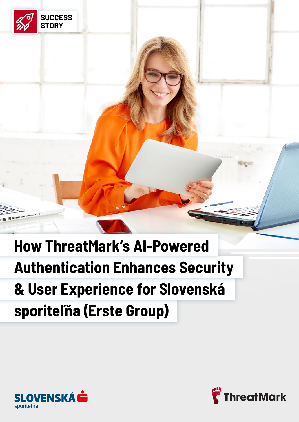



**SUCCESS STORY**

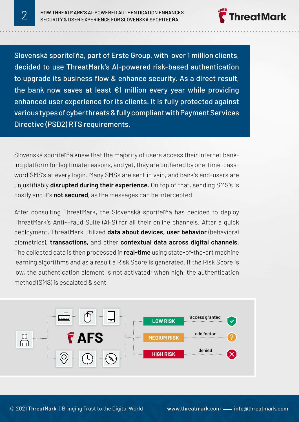**TreatMark** 

Slovenská sporiteľňa, part of Erste Group, with over 1 million clients, decided to use ThreatMark's AI-powered risk-based authentication to upgrade its business flow & enhance security. As a direct result, the bank now saves at least  $E1$  million every year while providing enhanced user experience for its clients. It is fully protected against various types of cyber threats & fully compliant with Payment Services Directive (PSD2) RTS requirements.

Slovenská sporiteľňa knew that the majority of users access their internet banking platform for legitimate reasons, and yet, they are bothered by one-time-password SMS's at every login. Many SMSs are sent in vain, and bank's end-users are unjustifiably **disrupted during their experience.** On top of that, sending SMS's is costly and it's **not secured**, as the messages can be intercepted.

After consulting ThreatMark, the Slovenská sporiteľňa has decided to deploy ThreatMark's Anti-Fraud Suite (AFS) for all their online channels. After a quick deployment, ThreatMark utilized **data about devices, user behavior** (behavioral biometrics), **transactions**, and other **contextual data across digital channels.**  The collected data is then processed in **real-time** using state-of-the-art machine learning algorithms and as a result a Risk Score is generated. If the Risk Score is low, the authentication element is not activated; when high, the authentication method (SMS) is escalated & sent.

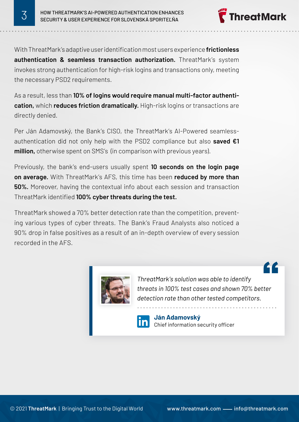HOW THREATMARK'S AI-POWERED AUTHENTICATION ENHANCES<br>3 SECURITY & USER EXPERIENCE FOR SLOVENSKÁ SPORITEĽŇA

With ThreatMark's adaptive user identification most users experience **frictionless authentication & seamless transaction authorization.** ThreatMark's system invokes strong authentication for high-risk logins and transactions only, meeting the necessary PSD2 requirements.

As a result, less than **10% of logins would require manual multi-factor authentication,** which **reduces friction dramatically.** High-risk logins or transactions are directly denied.

Per Ján Adamovský, the Bank's CISO, the ThreatMark's AI-Powered seamlessauthentication did not only help with the PSD2 compliance but also **saved €1 million,** otherwise spent on SMS's (in comparison with previous years).

Previously, the bank's end-users usually spent **10 seconds on the login page on average.** With ThreatMark's AFS, this time has been **reduced by more than 50%.** Moreover, having the contextual info about each session and transaction ThreatMark identified **100% cyber threats during the test.**

ThreatMark showed a 70% better detection rate than the competition, preventing various types of cyber threats. The Bank's Fraud Analysts also noticed a 90% drop in false positives as a result of an in-depth overview of every session recorded in the AFS.



*ThreatMark's solution was able to identify threats in 100% test cases and shown 70% better detection rate than other tested competitors.*

**ThreatMark** 

<u>r c</u>



**Ján Adamovský** Chief information security officer